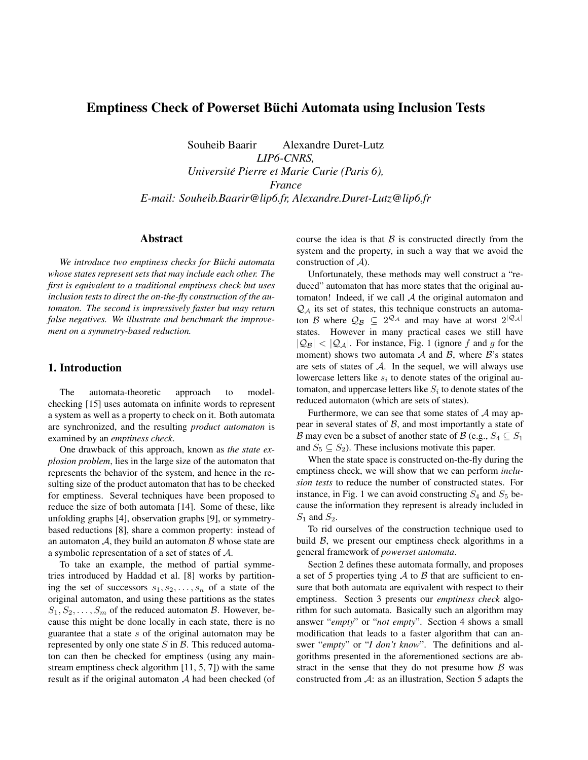# Emptiness Check of Powerset Buchi Automata using Inclusion Tests ¨

Souheib Baarir Alexandre Duret-Lutz

*LIP6-CNRS, Universite Pierre et Marie Curie (Paris 6), ´ France E-mail: Souheib.Baarir@lip6.fr, Alexandre.Duret-Lutz@lip6.fr*

# Abstract

We introduce two emptiness checks for Büchi automata *whose states represent sets that may include each other. The first is equivalent to a traditional emptiness check but uses inclusion tests to direct the on-the-fly construction of the automaton. The second is impressively faster but may return false negatives. We illustrate and benchmark the improvement on a symmetry-based reduction.*

# 1. Introduction

The automata-theoretic approach to modelchecking [15] uses automata on infinite words to represent a system as well as a property to check on it. Both automata are synchronized, and the resulting *product automaton* is examined by an *emptiness check*.

One drawback of this approach, known as *the state explosion problem*, lies in the large size of the automaton that represents the behavior of the system, and hence in the resulting size of the product automaton that has to be checked for emptiness. Several techniques have been proposed to reduce the size of both automata [14]. Some of these, like unfolding graphs [4], observation graphs [9], or symmetrybased reductions [8], share a common property: instead of an automaton  $A$ , they build an automaton  $B$  whose state are a symbolic representation of a set of states of A.

To take an example, the method of partial symmetries introduced by Haddad et al. [8] works by partitioning the set of successors  $s_1, s_2, \ldots, s_n$  of a state of the original automaton, and using these partitions as the states  $S_1, S_2, \ldots, S_m$  of the reduced automaton B. However, because this might be done locally in each state, there is no guarantee that a state  $s$  of the original automaton may be represented by only one state  $S$  in  $\mathcal{B}$ . This reduced automaton can then be checked for emptiness (using any mainstream emptiness check algorithm [11, 5, 7]) with the same result as if the original automaton A had been checked (of course the idea is that  $\beta$  is constructed directly from the system and the property, in such a way that we avoid the construction of  $A$ ).

Unfortunately, these methods may well construct a "reduced" automaton that has more states that the original automaton! Indeed, if we call  $A$  the original automaton and  $\mathcal{Q}_A$  its set of states, this technique constructs an automaton B where  $\mathcal{Q}_{\mathcal{B}} \subseteq 2^{\mathcal{Q}_{\mathcal{A}}}$  and may have at worst  $2^{|\mathcal{Q}_{\mathcal{A}}|}$ states. However in many practical cases we still have  $|Q_B| < |Q_A|$ . For instance, Fig. 1 (ignore f and g for the moment) shows two automata A and B, where  $\mathcal{B}$ 's states are sets of states of  $A$ . In the sequel, we will always use lowercase letters like  $s_i$  to denote states of the original automaton, and uppercase letters like  $S_i$  to denote states of the reduced automaton (which are sets of states).

Furthermore, we can see that some states of  $A$  may appear in several states of  $\beta$ , and most importantly a state of B may even be a subset of another state of B (e.g.,  $S_4 \subseteq S_1$ ) and  $S_5 \subseteq S_2$ ). These inclusions motivate this paper.

When the state space is constructed on-the-fly during the emptiness check, we will show that we can perform *inclusion tests* to reduce the number of constructed states. For instance, in Fig. 1 we can avoid constructing  $S_4$  and  $S_5$  because the information they represent is already included in  $S_1$  and  $S_2$ .

To rid ourselves of the construction technique used to build  $\beta$ , we present our emptiness check algorithms in a general framework of *powerset automata*.

Section 2 defines these automata formally, and proposes a set of 5 properties tying  $\mathcal A$  to  $\mathcal B$  that are sufficient to ensure that both automata are equivalent with respect to their emptiness. Section 3 presents our *emptiness check* algorithm for such automata. Basically such an algorithm may answer "*empty*" or "*not empty*". Section 4 shows a small modification that leads to a faster algorithm that can answer "*empty*" or "*I don't know*". The definitions and algorithms presented in the aforementioned sections are abstract in the sense that they do not presume how  $\beta$  was constructed from A: as an illustration, Section 5 adapts the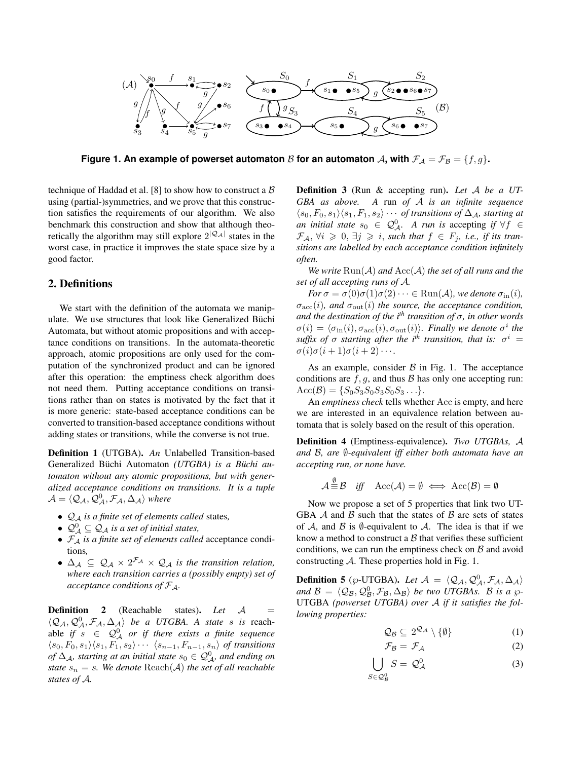

**Figure 1. An example of powerset automaton** B **for an automaton** A, with  $\mathcal{F}_A = \mathcal{F}_B = \{f, g\}$ .

technique of Haddad et al. [8] to show how to construct a  $\beta$ using (partial-)symmetries, and we prove that this construction satisfies the requirements of our algorithm. We also benchmark this construction and show that although theoretically the algorithm may still explore  $2^{|Q_A|}$  states in the worst case, in practice it improves the state space size by a good factor.

# 2. Definitions

We start with the definition of the automata we manipulate. We use structures that look like Generalized Büchi Automata, but without atomic propositions and with acceptance conditions on transitions. In the automata-theoretic approach, atomic propositions are only used for the computation of the synchronized product and can be ignored after this operation: the emptiness check algorithm does not need them. Putting acceptance conditions on transitions rather than on states is motivated by the fact that it is more generic: state-based acceptance conditions can be converted to transition-based acceptance conditions without adding states or transitions, while the converse is not true.

Definition 1 (UTGBA). *An* Unlabelled Transition-based Generalized Büchi Automaton (UTGBA) is a Büchi au*tomaton without any atomic propositions, but with generalized acceptance conditions on transitions. It is a tuple*  $\mathcal{A} = \langle \mathcal{Q}_\mathcal{A}, \mathcal{Q}_\mathcal{A}^0, \mathcal{F}_\mathcal{A}, \Delta_\mathcal{A} \rangle$  where

- Q<sup>A</sup> *is a finite set of elements called* states*,*
- $\mathcal{Q}_{\mathcal{A}}^0 \subseteq \mathcal{Q}_{\mathcal{A}}$  *is a set of initial states,*
- F<sup>A</sup> *is a finite set of elements called* acceptance conditions*,*
- $\Delta_{\mathcal{A}} \subseteq \mathcal{Q}_{\mathcal{A}} \times 2^{\mathcal{F}_{\mathcal{A}}} \times \mathcal{Q}_{\mathcal{A}}$  is the transition relation, *where each transition carries a (possibly empty) set of acceptance conditions of* FA*.*

Definition 2 (Reachable states). Let A  $\langle \mathcal{Q}_A, \mathcal{Q}_A^0, \mathcal{F}_A, \Delta_A \rangle$  *be a UTGBA. A state s is* reachable if  $s \in \mathcal{Q}_{\mathcal{A}}^0$  or if there exists a finite sequence  $\langle s_0, F_0, s_1 \rangle \langle s_1, F_1, s_2 \rangle \cdots \langle s_{n-1}, F_{n-1}, s_n \rangle$  of transitions  $of$   $\Delta$ <sub>A</sub>, starting at an initial state  $s_0 \in \mathcal{Q}_{\mathcal{A}}^0$ , and ending on *state*  $s_n = s$ *. We denote*  $\text{Reach}(\mathcal{A})$  *the set of all reachable states of* A*.*

Definition 3 (Run & accepting run). *Let* A *be a UT-GBA as above. A* run *of* A *is an infinite sequence*  $\langle s_0, F_0, s_1\rangle \langle s_1, F_1, s_2\rangle \cdots$  *of transitions of*  $\Delta_{\mathcal{A}}$ *, starting at an initial state*  $s_0 \in \mathcal{Q}_{\mathcal{A}}^0$ . A run is accepting if  $\forall f \in$  $\mathcal{F}_{\mathcal{A}}, \forall i \geqslant 0, \exists j \geqslant i$ , such that  $f \in F_j$ , i.e., if its tran*sitions are labelled by each acceptance condition infinitely often.*

*We write*  $\text{Run}(\mathcal{A})$  *and*  $\text{Acc}(\mathcal{A})$  *the set of all runs and the set of all accepting runs of* A*.*

*For*  $\sigma = \sigma(0)\sigma(1)\sigma(2)\cdots \in \text{Run}(\mathcal{A})$ *, we denote*  $\sigma_{\text{in}}(i)$ *,*  $\sigma_{\rm acc}(i)$ *, and*  $\sigma_{\rm out}(i)$  *the source, the acceptance condition, and the destination of the i<sup>th</sup> transition of*  $\sigma$ *, in other words*  $\sigma(i) = \langle \sigma_{\text{in}}(i), \sigma_{\text{acc}}(i), \sigma_{\text{out}}(i)\rangle$ *. Finally we denote*  $\sigma^i$  the  $s$ *uffix of*  $\sigma$  *starting after the i*<sup>th</sup> *transition, that is:*  $\sigma$ <sup>*i*</sup> =  $\sigma(i)\sigma(i+1)\sigma(i+2)\cdots$ 

As an example, consider  $\beta$  in Fig. 1. The acceptance conditions are  $f, g$ , and thus  $\beta$  has only one accepting run:  $Acc(B) = \{S_0S_3S_0S_3S_0S_3\ldots\}.$ 

An *emptiness check* tells whether Acc is empty, and here we are interested in an equivalence relation between automata that is solely based on the result of this operation.

Definition 4 (Emptiness-equivalence). *Two UTGBAs,* A *and* B*, are* ∅*-equivalent iff either both automata have an accepting run, or none have.*

$$
\mathcal{A} \stackrel{\psi}{\equiv} \mathcal{B} \quad \text{iff} \quad \text{Acc}(\mathcal{A}) = \emptyset \iff \text{Acc}(\mathcal{B}) = \emptyset
$$

∅

Now we propose a set of 5 properties that link two UT-GBA  $\mathcal A$  and  $\mathcal B$  such that the states of  $\mathcal B$  are sets of states of A, and B is  $\emptyset$ -equivalent to A. The idea is that if we know a method to construct a  $\beta$  that verifies these sufficient conditions, we can run the emptiness check on  $\beta$  and avoid constructing  $A$ . These properties hold in Fig. 1.

**Definition 5** ( $\wp$ -UTGBA). Let  $\mathcal{A} = \langle \mathcal{Q}_A, \mathcal{Q}_A^0, \mathcal{F}_A, \Delta_A \rangle$ and  $B = \langle \mathcal{Q}_B, \mathcal{Q}_B^0, \mathcal{F}_B, \Delta_B \rangle$  *be two UTGBAs. B is a*  $\wp$ -UTGBA *(powerset UTGBA) over* A *if it satisfies the following properties:*

$$
\mathcal{Q}_{\mathcal{B}} \subseteq 2^{\mathcal{Q}_{\mathcal{A}}} \setminus \{\emptyset\} \tag{1}
$$

$$
\mathcal{F}_{\mathcal{B}} = \mathcal{F}_{\mathcal{A}} \tag{2}
$$

$$
\bigcup_{S \in \mathcal{Q}_{\mathcal{B}}^0} S = \mathcal{Q}_{\mathcal{A}}^0 \tag{3}
$$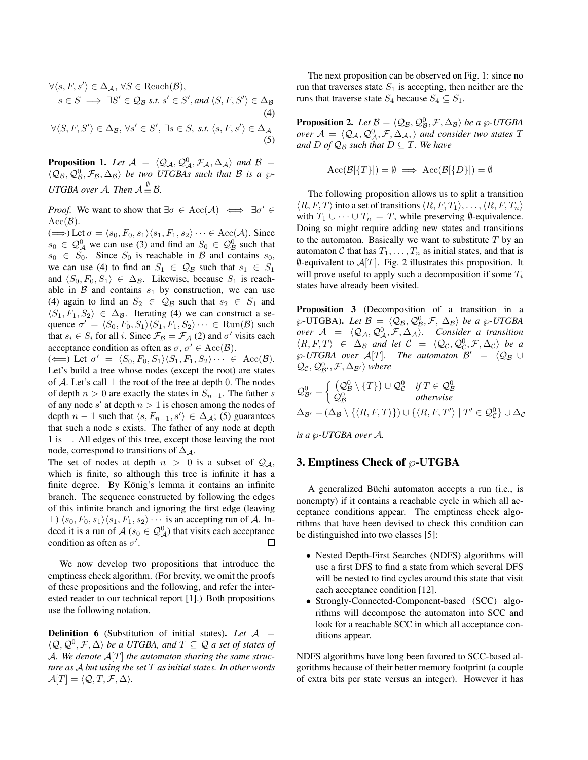$$
\forall \langle s, F, s' \rangle \in \Delta_{\mathcal{A}}, \forall S \in \text{Reach}(\mathcal{B}),
$$
  

$$
s \in S \implies \exists S' \in \mathcal{Q}_{\mathcal{B}} \text{ s.t. } s' \in S', \text{ and } \langle S, F, S' \rangle \in \Delta_{\mathcal{B}} \tag{4}
$$
  

$$
\forall \langle S, F, S' \rangle \in \Delta_{\mathcal{B}}, \forall s' \in S', \exists s \in S, \text{ s.t. } \langle s, F, s' \rangle \in \Delta_{\mathcal{A}} \tag{4}
$$

**Proposition 1.** Let  $\mathcal{A} = \langle \mathcal{Q}_A, \mathcal{Q}_A^0, \mathcal{F}_A, \Delta_A \rangle$  and  $\mathcal{B} =$  $\langle \mathcal{Q}_B, \mathcal{Q}_B^0, \mathcal{F}_B, \Delta_B \rangle$  *be two UTGBAs such that*  $B$  *is a*  $\wp$ -*UTGBA over A.* Then  $A \stackrel{\emptyset}{=} B$ .

(5)

*Proof.* We want to show that  $\exists \sigma \in Acc(\mathcal{A}) \iff \exists \sigma' \in$  $Acc(\mathcal{B})$ .

 $(\Longrightarrow)$  Let  $\sigma = \langle s_0, F_0, s_1 \rangle \langle s_1, F_1, s_2 \rangle \cdots \in Acc(\mathcal{A})$ . Since  $s_0 \in \mathcal{Q}_{\mathcal{A}}^0$  we can use (3) and find an  $S_0 \in \mathcal{Q}_{\mathcal{B}}^0$  such that  $s_0 \in S_0$ . Since  $S_0$  is reachable in B and contains  $s_0$ , we can use (4) to find an  $S_1 \in \mathcal{Q}_B$  such that  $s_1 \in S_1$ and  $\langle S_0, F_0, S_1 \rangle \in \Delta_{\mathcal{B}}$ . Likewise, because  $S_1$  is reachable in  $\beta$  and contains  $s_1$  by construction, we can use (4) again to find an  $S_2 \in \mathcal{Q}_B$  such that  $s_2 \in S_1$  and  $\langle S_1, F_1, S_2 \rangle \in \Delta_B$ . Iterating (4) we can construct a sequence  $\sigma' = \langle S_0, F_0, S_1 \rangle \langle S_1, F_1, S_2 \rangle \cdots \in \text{Run}(\mathcal{B})$  such that  $s_i \in S_i$  for all i. Since  $\mathcal{F}_{\mathcal{B}} = \mathcal{F}_{\mathcal{A}}(2)$  and  $\sigma'$  visits each acceptance condition as often as  $\sigma$ ,  $\sigma' \in Acc(\mathcal{B})$ .

( $\Longleftarrow$ ) Let  $\sigma' = \langle S_0, F_0, S_1 \rangle \langle S_1, F_1, S_2 \rangle \cdots \in \text{Acc}(\mathcal{B})$ . Let's build a tree whose nodes (except the root) are states of A. Let's call  $\perp$  the root of the tree at depth 0. The nodes of depth  $n > 0$  are exactly the states in  $S_{n-1}$ . The father s of any node s' at depth  $n > 1$  is chosen among the nodes of depth  $n-1$  such that  $\langle s, F_{n-1}, s' \rangle \in \Delta_{\mathcal{A}}$ ; (5) guarantees that such a node  $s$  exists. The father of any node at depth 1 is ⊥. All edges of this tree, except those leaving the root node, correspond to transitions of  $\Delta_A$ .

The set of nodes at depth  $n > 0$  is a subset of  $\mathcal{Q}_A$ , which is finite, so although this tree is infinite it has a finite degree. By König's lemma it contains an infinite branch. The sequence constructed by following the edges of this infinite branch and ignoring the first edge (leaving  $\perp$ )  $\langle s_0, F_0, s_1 \rangle \langle s_1, F_1, s_2 \rangle \cdots$  is an accepting run of A. Indeed it is a run of  $A(s_0 \in \mathcal{Q}_{\mathcal{A}}^0)$  that visits each acceptance condition as often as  $\sigma'$ .

We now develop two propositions that introduce the emptiness check algorithm. (For brevity, we omit the proofs of these propositions and the following, and refer the interested reader to our technical report [1].) Both propositions use the following notation.

**Definition 6** (Substitution of initial states). Let  $A =$  $\langle \mathcal{Q}, \mathcal{Q}^0, \mathcal{F}, \Delta \rangle$  *be a UTGBA, and*  $T \subseteq \mathcal{Q}$  *a set of states of* A*. We denote* A[T] *the automaton sharing the same structure as* A *but using the set* T *as initial states. In other words*  $\mathcal{A}[T] = \langle \mathcal{Q}, T, \mathcal{F}, \Delta \rangle.$ 

The next proposition can be observed on Fig. 1: since no run that traverses state  $S_1$  is accepting, then neither are the runs that traverse state  $S_4$  because  $S_4 \subseteq S_1$ .

**Proposition 2.** Let  $\mathcal{B} = \langle \mathcal{Q}_{\mathcal{B}}, \mathcal{Q}_{\mathcal{B}}^0, \mathcal{F}, \Delta_{\mathcal{B}} \rangle$  be a  $\wp$ -UTGBA *over*  $\mathcal{A} = \langle \mathcal{Q}_{\mathcal{A}}, \mathcal{Q}_{\mathcal{A}}^0, \mathcal{F}, \Delta_{\mathcal{A}}, \rangle$  *and consider two states* T *and*  $D$  *of*  $\mathcal{Q}_B$  *such that*  $D \subseteq T$ *. We have* 

$$
Acc(\mathcal{B}[\{T\}]) = \emptyset \implies Acc(\mathcal{B}[\{D\}]) = \emptyset
$$

The following proposition allows us to split a transition  $\langle R, F, T \rangle$  into a set of transitions  $\langle R, F, T_1 \rangle, \ldots, \langle R, F, T_n \rangle$ with  $T_1 \cup \cdots \cup T_n = T$ , while preserving  $\emptyset$ -equivalence. Doing so might require adding new states and transitions to the automaton. Basically we want to substitute  $T$  by an automaton  $C$  that has  $T_1, \ldots, T_n$  as initial states, and that is  $\emptyset$ -equivalent to  $\mathcal{A}[T]$ . Fig. 2 illustrates this proposition. It will prove useful to apply such a decomposition if some  $T_i$ states have already been visited.

Proposition 3 (Decomposition of a transition in a  $\wp$ -UTGBA). Let  $\mathcal{B} = \langle \mathcal{Q}_{\mathcal{B}}, \mathcal{Q}_{\mathcal{B}}^0, \mathcal{F}, \Delta_{\mathcal{B}} \rangle$  be a  $\wp$ -UTGBA *over*  $A = \langle Q_A, Q_A^0, \mathcal{F}, \Delta_A \rangle$ . Consider a transition  $\langle R, F, T \rangle \in \Delta_{\mathcal{B}}$  and let  $\mathcal{C} = \langle \mathcal{Q}_{\mathcal{C}}, \mathcal{Q}_{\mathcal{C}}^0, \mathcal{F}, \Delta_{\mathcal{C}} \rangle$  be a  $\wp$ -UTGBA over  $\mathcal{A}[T]$ . The automaton  $\mathcal{B}' = \langle \mathcal{Q}_B \cup$  $\mathcal{Q}_{\mathcal{C}}, \mathcal{Q}_{\mathcal{B}'}^0, \mathcal{F}, \Delta_{\mathcal{B}'}\rangle$  where

$$
Q_{\mathcal{B}'}^0 = \begin{cases} (Q_{\mathcal{B}}^0 \setminus \{T\}) \cup Q_{\mathcal{C}}^0 & \text{if } T \in Q_{\mathcal{B}}^0 \\ Q_{\mathcal{B}}^0 & \text{otherwise} \end{cases}
$$
  
\n
$$
\Delta_{\mathcal{B}'} = (\Delta_{\mathcal{B}} \setminus \{ \langle R, F, T \rangle \}) \cup \{ \langle R, F, T' \rangle \mid T' \in Q_{\mathcal{C}}^0 \} \cup \Delta_{\mathcal{C}}
$$
  
\nis a  $\varnothing$ -UTGBA over A.

# 3. Emptiness Check of  $\wp$ -UTGBA

A generalized Büchi automaton accepts a run (i.e., is nonempty) if it contains a reachable cycle in which all acceptance conditions appear. The emptiness check algorithms that have been devised to check this condition can be distinguished into two classes [5]:

- Nested Depth-First Searches (NDFS) algorithms will use a first DFS to find a state from which several DFS will be nested to find cycles around this state that visit each acceptance condition [12].
- Strongly-Connected-Component-based (SCC) algorithms will decompose the automaton into SCC and look for a reachable SCC in which all acceptance conditions appear.

NDFS algorithms have long been favored to SCC-based algorithms because of their better memory footprint (a couple of extra bits per state versus an integer). However it has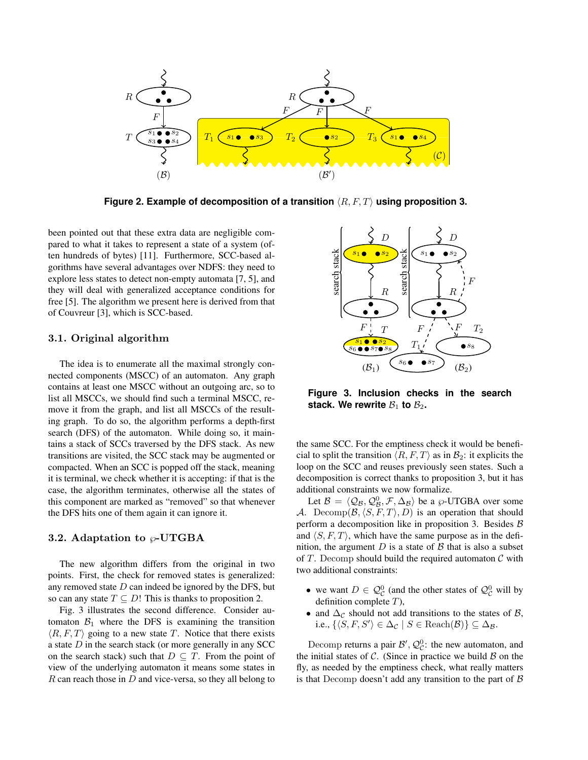

**Figure 2. Example of decomposition of a transition**  $\langle R, F, T \rangle$  **using proposition 3.** 

been pointed out that these extra data are negligible compared to what it takes to represent a state of a system (often hundreds of bytes) [11]. Furthermore, SCC-based algorithms have several advantages over NDFS: they need to explore less states to detect non-empty automata [7, 5], and they will deal with generalized acceptance conditions for free [5]. The algorithm we present here is derived from that of Couvreur [3], which is SCC-based.

### 3.1. Original algorithm

The idea is to enumerate all the maximal strongly connected components (MSCC) of an automaton. Any graph contains at least one MSCC without an outgoing arc, so to list all MSCCs, we should find such a terminal MSCC, remove it from the graph, and list all MSCCs of the resulting graph. To do so, the algorithm performs a depth-first search (DFS) of the automaton. While doing so, it maintains a stack of SCCs traversed by the DFS stack. As new transitions are visited, the SCC stack may be augmented or compacted. When an SCC is popped off the stack, meaning it is terminal, we check whether it is accepting: if that is the case, the algorithm terminates, otherwise all the states of this component are marked as "removed" so that whenever the DFS hits one of them again it can ignore it.

### 3.2. Adaptation to  $\wp$ -UTGBA

The new algorithm differs from the original in two points. First, the check for removed states is generalized: any removed state  $D$  can indeed be ignored by the DFS, but so can any state  $T \subseteq D!$  This is thanks to proposition 2.

Fig. 3 illustrates the second difference. Consider automaton  $B_1$  where the DFS is examining the transition  $\langle R, F, T \rangle$  going to a new state T. Notice that there exists a state  $D$  in the search stack (or more generally in any SCC on the search stack) such that  $D \subseteq T$ . From the point of view of the underlying automaton it means some states in  $R$  can reach those in  $D$  and vice-versa, so they all belong to



**Figure 3. Inclusion checks in the search** stack. We rewrite  $B_1$  to  $B_2$ .

the same SCC. For the emptiness check it would be beneficial to split the transition  $\langle R, F, T \rangle$  as in  $\mathcal{B}_2$ : it explicits the loop on the SCC and reuses previously seen states. Such a decomposition is correct thanks to proposition 3, but it has additional constraints we now formalize.

Let  $\mathcal{B} = \langle \mathcal{Q}_{\mathcal{B}}, \mathcal{Q}_{\mathcal{B}}^0, \mathcal{F}, \Delta_{\mathcal{B}} \rangle$  be a  $\wp$ -UTGBA over some A. Decomp $(\mathcal{B}, \langle S, F, T \rangle, D)$  is an operation that should perform a decomposition like in proposition 3. Besides  $\beta$ and  $\langle S, F, T \rangle$ , which have the same purpose as in the definition, the argument  $D$  is a state of  $\beta$  that is also a subset of T. Decomp should build the required automaton  $\mathcal C$  with two additional constraints:

- we want  $D \in \mathcal{Q}_{\mathcal{C}}^0$  (and the other states of  $\mathcal{Q}_{\mathcal{C}}^0$  will by definition complete T),
- and  $\Delta_{\mathcal{C}}$  should not add transitions to the states of  $\mathcal{B}$ , i.e.,  $\{ \langle S, F, S' \rangle \in \Delta_{\mathcal{C}} \mid S \in \text{Reach}(\mathcal{B}) \} \subseteq \Delta_{\mathcal{B}}$ .

Decomp returns a pair  $\mathcal{B}', \mathcal{Q}_{\mathcal{C}}^0$ : the new automaton, and the initial states of  $\mathcal{C}$ . (Since in practice we build  $\mathcal{B}$  on the fly, as needed by the emptiness check, what really matters is that Decomp doesn't add any transition to the part of  $\beta$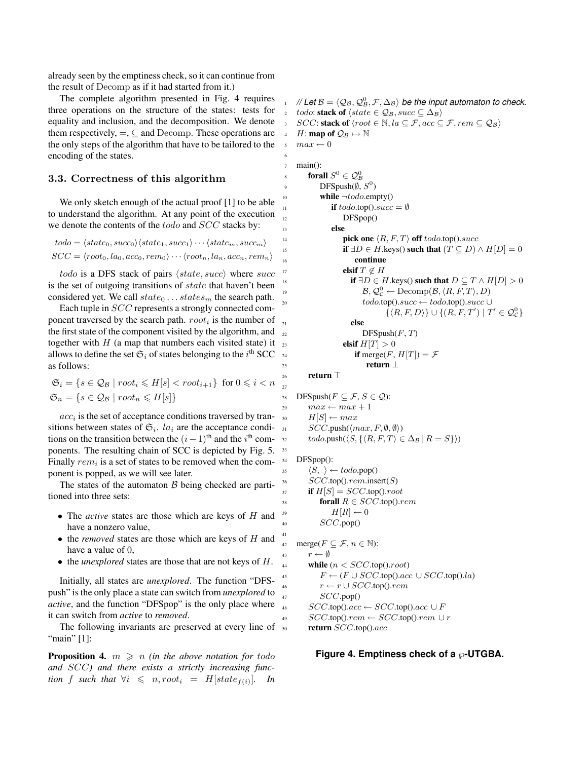already seen by the emptiness check, so it can continue from the result of Decomp as if it had started from it.)

The complete algorithm presented in Fig. 4 requires three operations on the structure of the states: tests for equality and inclusion, and the decomposition. We denote them respectively,  $=$ ,  $\subseteq$  and Decomp. These operations are the only steps of the algorithm that have to be tailored to the encoding of the states.

# 3.3. Correctness of this algorithm

We only sketch enough of the actual proof [1] to be able to understand the algorithm. At any point of the execution we denote the contents of the *todo* and *SCC* stacks by:

$$
todo = \langle state_0, succ_0 \rangle \langle state_1, succ_1 \rangle \cdots \langle state_m, succ_m \rangle
$$
  

$$
SCC = \langle root_0, la_0, acc_0, rem_0 \rangle \cdots \langle root_n, la_n, acc_n, rem_n \rangle
$$

todo is a DFS stack of pairs  $\langle state, succ \rangle$  where succ is the set of outgoing transitions of *state* that haven't been considered yet. We call  $state_0 \dots states_m$  the search path.

Each tuple in SCC represents a strongly connected component traversed by the search path.  $root_i$  is the number of the first state of the component visited by the algorithm, and together with  $H$  (a map that numbers each visited state) it allows to define the set  $\mathfrak{S}_i$  of states belonging to the  $i^{\text{th}}$  SCC as follows:

$$
\mathfrak{S}_i = \{ s \in \mathcal{Q}_\mathcal{B} \mid root_i \le H[s] < root_{i+1} \} \text{ for } 0 \le i < n
$$
\n
$$
\mathfrak{S}_n = \{ s \in \mathcal{Q}_\mathcal{B} \mid root_n \le H[s] \}
$$

 $acc<sub>i</sub>$  is the set of acceptance conditions traversed by transitions between states of  $\mathfrak{S}_i$ . la<sub>i</sub> are the acceptance conditions on the transition between the  $(i-1)$ <sup>th</sup> and the i<sup>th</sup> components. The resulting chain of SCC is depicted by Fig. 5. Finally  $rem_i$  is a set of states to be removed when the component is popped, as we will see later.

The states of the automaton  $B$  being checked are partitioned into three sets:

- The *active* states are those which are keys of H and have a nonzero value,
- the *removed* states are those which are keys of H and have a value of 0,
- the *unexplored* states are those that are not keys of H.

Initially, all states are *unexplored*. The function "DFSpush" is the only place a state can switch from *unexplored* to *active*, and the function "DFSpop" is the only place where it can switch from *active* to *removed*.

The following invariants are preserved at every line of "main" [1]:

**Proposition 4.**  $m \geq n$  *(in the above notation for todo and* SCC*) and there exists a strictly increasing function* f such that  $\forall i \leq n, root_i = H[state_{f(i)}].$  In

 $\mathcal{A}_1$  *// Let*  $\mathcal{B} = \langle \mathcal{Q}_\mathcal{B}, \mathcal{Q}_\mathcal{B}^0, \mathcal{F}, \Delta_\mathcal{B} \rangle$  *be the input automaton to check.* todo: stack of  $\langle state \in \mathcal{Q}_B, succ \subseteq \Delta_B \rangle$  $SCC$ : stack of  $\langle root \in \mathbb{N}, la \subseteq \mathcal{F}, acc \subseteq \mathcal{F}, rem \subseteq \mathcal{Q}_B \rangle$ *H*: **map of**  $\mathcal{Q}_\mathcal{B} \mapsto \mathbb{N}$  $max \leftarrow 0$ <sup>7</sup> main(): s forall  $S^0 \in \mathcal{Q}_{\mathcal{B}}^0$ 9 DFSpush $(\emptyset, S^0)$ 10 **while**  $\neg$ *todo.empty()* 11 **if**  $todo \text{.top}()$ .  $succ = \emptyset$ 12 DFSpop() <sup>13</sup> else 14 **pick one**  $\langle R, F, T \rangle$  **off** todo.top().succ 15 **if** ∃D ∈ H.keys() **such that**  $(T ⊆ D) \wedge H[D] = 0$ 16 continue 17 **elsif**  $T \notin H$ 18 **if**  $\exists D \in H$ .keys() **such that**  $D \subseteq T \wedge H[D] > 0$ 19  $\mathcal{B}, \mathcal{Q}_{\mathcal{C}}^0 \leftarrow \text{Decomp}(\mathcal{B}, \langle R, F, T \rangle, D)$  $\text{codo.top}() \text{.} \text{succ} \leftarrow \text{todo.top}() \text{.} \text{succ} \cup$  $\{ \langle R, F, D \rangle \} \cup \{ (R, F, T') \mid T' \in \mathcal{Q}_{\mathcal{C}}^0 \}$ <sup>21</sup> else  $22$  DFSpush $(F, T)$ 23 **elsif**  $H[T] > 0$ 

$$
\text{if } \text{merge}(F, H[T]) = \mathcal{F}
$$
\n
$$
\text{return } \bot
$$

#### $_{26}$  return  $\top$

27

33

41

6

28 DFSpush( $F \subseteq \mathcal{F}, S \in \mathcal{Q}$ ):  $max \leftarrow max + 1$  $H[S] \leftarrow max$  $SCC.push(\langle max, F, \emptyset, \emptyset \rangle)$  $\qquad \text{todo.push}(\langle S, \{ \langle R, F, T \rangle \in \Delta_{\mathcal{B}} | R = S \} \rangle)$ 

#### <sup>34</sup> DFSpop():

35  $\langle S, \_ \rangle \leftarrow todo.pop()$  $SCC.top()$ .rem.insert(S)  $\text{if } H[S] = SCC \text{.top}() \text{.root}$ 38 forall  $R \in SCC$ .top().rem  $H[R] \leftarrow 0$ 40  $SCC.pop()$ 

42 merge $(F \subseteq \mathcal{F}, n \in \mathbb{N})$ : 43  $r \leftarrow \emptyset$ 44 while  $(n < SCC.\text{top}()root)$ 45  $F \leftarrow (F \cup SCC.\text{top}().acc \cup SCC.\text{top}().la)$  $r \leftarrow r \cup SCC.\text{top}()$ . $rem$ 47  $SCC.pop()$ 48  $SCC.top() . acc \leftarrow SCC.top() . acc \cup F$  $SCC.top()$ .rem ←  $SCC.top()$ .rem ∪ r  $_{50}$  return  $SCC$ .top().acc

### **Figure 4. Emptiness check of a**  $\wp$ **-UTGBA.**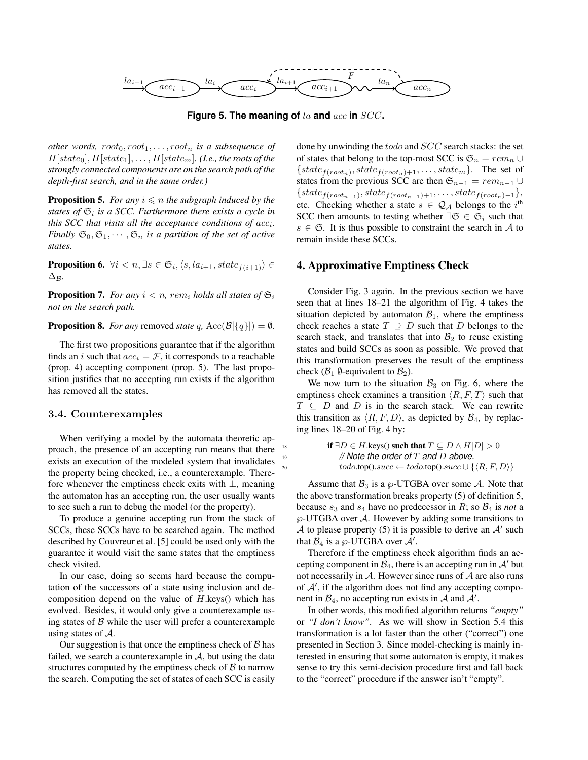

**Figure 5. The meaning of** la **and** acc **in** SCC**.**

*other words,*  $root_0, root_1, ..., root_n$  *is a subsequence of*  $H[state_0], H[state_1], \ldots, H[state_m]$ . (*I.e., the roots of the strongly connected components are on the search path of the depth-first search, and in the same order.)*

**Proposition 5.** *For any*  $i \leq n$  *the subgraph induced by the states of* S<sup>i</sup> *is a SCC. Furthermore there exists a cycle in this SCC that visits all the acceptance conditions of*  $acc_i$ *. Finally*  $\mathfrak{S}_0$ ,  $\mathfrak{S}_1$ ,  $\cdots$ ,  $\mathfrak{S}_n$  *is a partition of the set of active states.*

**Proposition 6.**  $\forall i \leq n, \exists s \in \mathfrak{S}_i, \langle s, la_{i+1}, state_{f(i+1)} \rangle \in$  $\Delta$ *R*.

**Proposition 7.** *For any*  $i < n$ *, rem<sub>i</sub> holds all states of*  $\mathfrak{S}_i$ *not on the search path.*

**Proposition 8.** *For any* removed *state* q,  $Acc(\mathcal{B}[\{q\}]) = \emptyset$ *.* 

The first two propositions guarantee that if the algorithm finds an *i* such that  $acc_i = \mathcal{F}$ , it corresponds to a reachable (prop. 4) accepting component (prop. 5). The last proposition justifies that no accepting run exists if the algorithm has removed all the states.

#### 3.4. Counterexamples

When verifying a model by the automata theoretic approach, the presence of an accepting run means that there exists an execution of the modeled system that invalidates the property being checked, i.e., a counterexample. Therefore whenever the emptiness check exits with ⊥, meaning the automaton has an accepting run, the user usually wants to see such a run to debug the model (or the property).

To produce a genuine accepting run from the stack of SCCs, these SCCs have to be searched again. The method described by Couvreur et al. [5] could be used only with the guarantee it would visit the same states that the emptiness check visited.

In our case, doing so seems hard because the computation of the successors of a state using inclusion and decomposition depend on the value of  $H$ .keys() which has evolved. Besides, it would only give a counterexample using states of  $\beta$  while the user will prefer a counterexample using states of  $A$ .

Our suggestion is that once the emptiness check of  $\beta$  has failed, we search a counterexample in  $A$ , but using the data structures computed by the emptiness check of  $\beta$  to narrow the search. Computing the set of states of each SCC is easily done by unwinding the todo and SCC search stacks: the set of states that belong to the top-most SCC is  $\mathfrak{S}_n = rem_n \cup$  ${state_{f(root_n)}}, state_{f(root_n)+1}, \ldots, state_m$ . The set of states from the previous SCC are then  $\mathfrak{S}_{n-1} = rem_{n-1} \cup$  ${state_{f(root_{n-1})}, state_{f(root_{n-1})+1}, \ldots, state_{f(root_n)-1}}$ etc. Checking whether a state  $s \in \mathcal{Q}_A$  belongs to the i<sup>th</sup> SCC then amounts to testing whether  $\exists \mathfrak{S} \in \mathfrak{S}_i$  such that  $s \in \mathfrak{S}$ . It is thus possible to constraint the search in A to remain inside these SCCs.

# 4. Approximative Emptiness Check

Consider Fig. 3 again. In the previous section we have seen that at lines 18–21 the algorithm of Fig. 4 takes the situation depicted by automaton  $B_1$ , where the emptiness check reaches a state  $T \supseteq D$  such that D belongs to the search stack, and translates that into  $B_2$  to reuse existing states and build SCCs as soon as possible. We proved that this transformation preserves the result of the emptiness check ( $\mathcal{B}_1$   $\emptyset$ -equivalent to  $\mathcal{B}_2$ ).

We now turn to the situation  $B_3$  on Fig. 6, where the emptiness check examines a transition  $\langle R, F, T \rangle$  such that  $T \subseteq D$  and D is in the search stack. We can rewrite this transition as  $\langle R, F, D \rangle$ , as depicted by  $\mathcal{B}_4$ , by replacing lines 18–20 of Fig. 4 by:

**if** ∃D ∈ H.keys() **such that**  $T \subseteq D \land H[D] > 0$ <sup>19</sup> *// Note the order of* T *and* D *above.*  $todo.\text{top}().succ \leftarrow todo.\text{top}().succ \cup \{\langle R, F, D \rangle\}$ 

Assume that  $B_3$  is a  $\wp$ -UTGBA over some A. Note that the above transformation breaks property (5) of definition 5, because  $s_3$  and  $s_4$  have no predecessor in R; so  $\mathcal{B}_4$  is *not* a  $\wp$ -UTGBA over A. However by adding some transitions to A to please property (5) it is possible to derive an  $A'$  such that  $B_4$  is a  $\wp$ -UTGBA over  $\mathcal{A}'$ .

Therefore if the emptiness check algorithm finds an accepting component in  $\mathcal{B}_4$ , there is an accepting run in  $\mathcal{A}'$  but not necessarily in  $A$ . However since runs of  $A$  are also runs of  $A'$ , if the algorithm does not find any accepting component in  $\mathcal{B}_4$ , no accepting run exists in  $\mathcal{A}$  and  $\mathcal{A}'$ .

In other words, this modified algorithm returns *"empty"* or *"I don't know"*. As we will show in Section 5.4 this transformation is a lot faster than the other ("correct") one presented in Section 3. Since model-checking is mainly interested in ensuring that some automaton is empty, it makes sense to try this semi-decision procedure first and fall back to the "correct" procedure if the answer isn't "empty".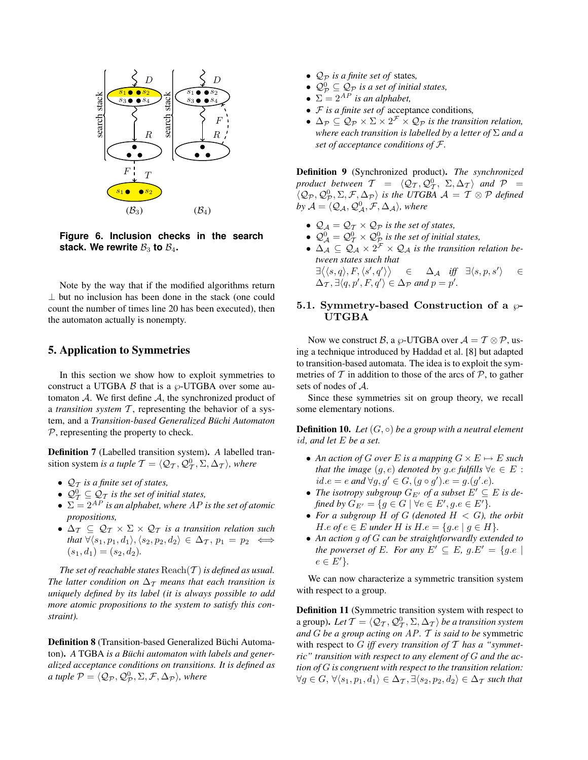

**Figure 6. Inclusion checks in the search** stack. We rewrite  $\mathcal{B}_3$  to  $\mathcal{B}_4$ .

Note by the way that if the modified algorithms return ⊥ but no inclusion has been done in the stack (one could count the number of times line 20 has been executed), then the automaton actually is nonempty.

# 5. Application to Symmetries

In this section we show how to exploit symmetries to construct a UTGBA  $\beta$  that is a  $\wp$ -UTGBA over some automaton  $A$ . We first define  $A$ , the synchronized product of a *transition system* T, representing the behavior of a system, and a *Transition-based Generalized Buchi Automaton ¨* P, representing the property to check.

Definition 7 (Labelled transition system). *A* labelled transition system *is a tuple*  $\mathcal{T} = \langle \mathcal{Q}_\mathcal{T}, \mathcal{Q}_\mathcal{T}^0, \Sigma, \Delta_\mathcal{T} \rangle$ *, where* 

- $\mathcal{Q}_T$  *is a finite set of states,*
- $\mathcal{Q}^0_\mathcal{T} \subseteq \mathcal{Q}_\mathcal{T}$  *is the set of initial states,*
- $\Sigma = 2^{AP}$  *is an alphabet, where AP is the set of atomic propositions,*
- $\Delta_{\mathcal{T}} \subseteq \mathcal{Q}_{\mathcal{T}} \times \Sigma \times \mathcal{Q}_{\mathcal{T}}$  *is a transition relation such that*  $\forall \langle s_1, p_1, d_1 \rangle, \langle s_2, p_2, d_2 \rangle \in \Delta_{\mathcal{T}}, p_1 = p_2 \iff$  $(s_1, d_1) = (s_2, d_2).$

*The set of reachable states*  $\text{Reach}(\mathcal{T})$  *is defined as usual. The latter condition on*  $\Delta_{\mathcal{T}}$  *means that each transition is uniquely defined by its label (it is always possible to add more atomic propositions to the system to satisfy this constraint).*

Definition 8 (Transition-based Generalized Büchi Automaton). *A* TGBA *is a Buchi automaton with labels and gener- ¨ alized acceptance conditions on transitions. It is defined as a tuple*  $\mathcal{P} = \langle \mathcal{Q}_{\mathcal{P}}, \mathcal{Q}_{\mathcal{P}}^0, \Sigma, \mathcal{F}, \Delta_{\mathcal{P}} \rangle$ , where

- $\mathcal{Q}_P$  *is a finite set of states,*
- $\mathcal{Q}_{\mathcal{P}}^0 \subseteq \mathcal{Q}_{\mathcal{P}}$  *is a set of initial states,*
- $\Sigma = 2^{AP}$  *is an alphabet,*
- F *is a finite set of* acceptance conditions*,*
- $\Delta_{\mathcal{P}} \subseteq \mathcal{Q}_{\mathcal{P}} \times \Sigma \times 2^{\mathcal{F}} \times \mathcal{Q}_{\mathcal{P}}$  *is the transition relation, where each transition is labelled by a letter of* Σ *and a set of acceptance conditions of* F*.*

Definition 9 (Synchronized product). *The synchronized product between*  $T = \langle \mathcal{Q}_T, \mathcal{Q}_T^0, \Sigma, \Delta_T \rangle$  *and*  $\mathcal{P} =$  $\langle \mathcal{Q}_{\mathcal{P}}, \mathcal{Q}_{\mathcal{P}}^0, \Sigma, \mathcal{F}, \Delta_{\mathcal{P}} \rangle$  is the UTGBA  $\mathcal{A} = \mathcal{T} \otimes \mathcal{P}$  defined by  $\mathcal{A} = \langle \mathcal{Q}_\mathcal{A}, \mathcal{Q}_\mathcal{A}^0, \mathcal{F}, \Delta_\mathcal{A} \rangle$ , where

- $\mathcal{Q}_A = \mathcal{Q}_T \times \mathcal{Q}_P$  *is the set of states,*
- $\mathcal{Q}_{\mathcal{A}}^{0} = \mathcal{Q}_{\mathcal{T}}^{0} \times \mathcal{Q}_{\mathcal{P}}^{0}$  is the set of initial states,
- $\Delta_{\mathcal{A}} \subseteq \mathcal{Q}_{\mathcal{A}} \times 2^{\mathcal{F}} \times \mathcal{Q}_{\mathcal{A}}$  *is the transition relation between states such that*  $\exists \langle \langle s, q \rangle, F, \langle s', q' \rangle \rangle \quad \in \quad \Delta_{\mathcal{A}} \quad \text{iff} \quad \exists \langle s, p, s' \rangle$ i ∈  $\Delta_{\mathcal{T}}, \exists \langle q, p', F, q' \rangle \in \Delta_{\mathcal{P}}$  and  $p = p'.$

# 5.1. Symmetry-based Construction of a  $\wp$ -UTGBA

Now we construct B, a  $\wp$ -UTGBA over  $\mathcal{A} = \mathcal{T} \otimes \mathcal{P}$ , using a technique introduced by Haddad et al. [8] but adapted to transition-based automata. The idea is to exploit the symmetries of  $T$  in addition to those of the arcs of  $P$ , to gather sets of nodes of A.

Since these symmetries sit on group theory, we recall some elementary notions.

Definition 10. *Let* (G, ◦) *be a group with a neutral element* id*, and let* E *be a set.*

- An action of G over E is a mapping  $G \times E \mapsto E$  such *that the image*  $(g, e)$  *denoted by*  $g.e$  *fulfills*  $\forall e \in E$ :  $id.e = e$  and ∀g, g' ∈ G,  $(g \circ g') . e = g.(g'.e)$ .
- *The isotropy subgroup*  $G_{E'}$  *of a subset*  $E' \subseteq E$  *is defined by*  $G_{E'} = \{ g \in G \mid \forall e \in E', g.e \in E' \}.$
- *For a subgroup* H *of* G *(denoted* H < G*), the orbit H.e of*  $e \in E$  *under H is*  $H.e = \{g.e \mid g \in H\}.$
- *An action* g *of* G *can be straightforwardly extended to the powerset of* E. For any  $E' \subseteq E$ ,  $q.E' = \{q.e \mid$  $e \in E'$ .

We can now characterize a symmetric transition system with respect to a group.

Definition 11 (Symmetric transition system with respect to a group). Let  $\mathcal{T} = \langle \mathcal{Q}_\mathcal{T}, \mathcal{Q}_\mathcal{T}^0, \Sigma, \Delta_\mathcal{T} \rangle$  be a transition system *and* G *be a group acting on* AP*.* T *is said to be* symmetric with respect to G *iff every transition of* T *has a "symmetric" transition with respect to any element of* G *and the action of* G *is congruent with respect to the transition relation:*  $\forall g \in G, \forall \langle s_1, p_1, d_1 \rangle \in \Delta_{\mathcal{T}}, \exists \langle s_2, p_2, d_2 \rangle \in \Delta_{\mathcal{T}}$  such that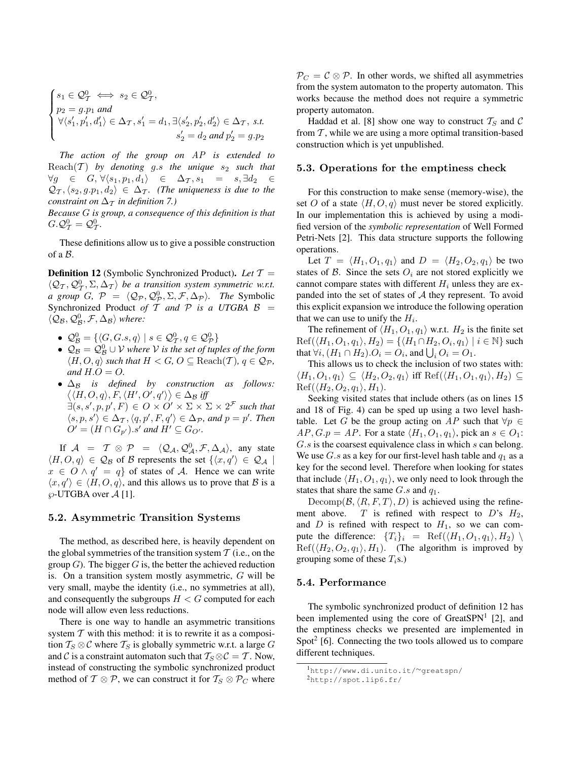$$
\begin{cases} s_1 \in \mathcal{Q}_\mathcal{T}^0 \iff s_2 \in \mathcal{Q}_\mathcal{T}^0, \\ p_2 = g.p_1 \text{ and } \\ \forall \langle s_1', p_1', d_1'\rangle \in \Delta_\mathcal{T}, s_1' = d_1, \exists \langle s_2', p_2', d_2'\rangle \in \Delta_\mathcal{T}, \text{ s.t. } \\ s_2' = d_2 \text{ and } p_2' = g.p_2 \end{cases}
$$

*The action of the group on* AP *is extended to* Reach $(T)$  by denoting g.s the unique  $s_2$  such that  $\forall g \in G, \forall \langle s_1, p_1, d_1 \rangle \in \Delta_{\mathcal{T}}, s_1 = s, \exists d_2 \in$  $\mathcal{Q}_{\mathcal{T}},\langle s_2, g.p_1, d_2\rangle \in \Delta_{\mathcal{T}}$ *. (The uniqueness is due to the constraint on*  $\Delta_{\tau}$  *in definition* 7.)

*Because* G *is group, a consequence of this definition is that*  $G \cdot \mathcal{Q}^0_{\mathcal{T}} = \mathcal{Q}^0_{\mathcal{T}}.$ 

These definitions allow us to give a possible construction of a B.

Definition 12 (Symbolic Synchronized Product). *Let* T =  $\langle \mathcal{Q}_T, \mathcal{Q}_T^0, \Sigma, \Delta_T \rangle$  be a transition system symmetric w.r.t. *a group G*,  $\mathcal{P} = \langle \mathcal{Q}_{\mathcal{P}}, \mathcal{Q}_{\mathcal{P}}^0, \Sigma, \mathcal{F}, \Delta_{\mathcal{P}} \rangle$ *. The* Symbolic Synchronized Product of  $T$  and  $P$  is a UTGBA  $B =$  $\langle \mathcal{Q}_{\mathcal{B}}, \mathcal{Q}_{\mathcal{B}}^0, \mathcal{F}, \Delta_{\mathcal{B}} \rangle$  where:

- $\mathcal{Q}_{\mathcal{B}}^0 = \{ \langle G, G.s, q \rangle \mid s \in \mathcal{Q}_{\mathcal{T}}^0, q \in \mathcal{Q}_{\mathcal{P}}^0 \}$
- $\bullet$   $\mathcal{Q}_{\mathcal{B}} = \mathcal{Q}_{\mathcal{B}}^0 \cup \mathcal{V}$  where  $\mathcal V$  is the set of tuples of the form  $\langle H, O, q \rangle$  *such that*  $H < G$ ,  $O \subseteq$  Reach $(T)$ ,  $q \in Q_{\mathcal{P}}$ , and  $H.O=O$ .
- ∆<sub>B</sub> *is defined by construction as follows:*  $\langle \langle H, O, q \rangle, F, \langle H', O', q' \rangle \rangle \in \Delta_{\mathcal{B}}$  iff  $\exists (s,s',p,p',F) \in O \times O' \times \Sigma \times \Sigma \times 2^{\mathcal{F}}$  such that  $\langle s, p, s' \rangle \in \Delta_{\mathcal{T}}, \langle q, p', F, q' \rangle \in \Delta_{\mathcal{P}}$ *, and*  $p = p'$ *. Then*  $O' = (H \cap G_{p'})$ .s' and  $H' \subseteq G_{O'}$ .

If  $\mathcal{A}$  =  $\mathcal{T} \otimes \mathcal{P}$  =  $\langle \mathcal{Q}_{\mathcal{A}}, \mathcal{Q}_{\mathcal{A}}^0, \mathcal{F}, \Delta_{\mathcal{A}} \rangle$ , any state  $\langle H, O, q \rangle \in \mathcal{Q}_{\mathcal{B}}$  of  $\mathcal{B}$  represents the set  $\{ \langle x, q' \rangle \in \mathcal{Q}_{\mathcal{A}} \mid$  $x \in O \wedge q' = q$  of states of A. Hence we can write  $\langle x, q' \rangle \in \langle H, O, q \rangle$ , and this allows us to prove that  $\beta$  is a  $\wp$ -UTGBA over A [1].

## 5.2. Asymmetric Transition Systems

The method, as described here, is heavily dependent on the global symmetries of the transition system  $T$  (i.e., on the group  $G$ ). The bigger  $G$  is, the better the achieved reduction is. On a transition system mostly asymmetric,  $G$  will be very small, maybe the identity (i.e., no symmetries at all), and consequently the subgroups  $H < G$  computed for each node will allow even less reductions.

There is one way to handle an asymmetric transitions system  $T$  with this method: it is to rewrite it as a composition  $T_S \otimes C$  where  $T_S$  is globally symmetric w.r.t. a large G and C is a constraint automaton such that  $T_S \otimes C = T$ . Now, instead of constructing the symbolic synchronized product method of  $T \otimes P$ , we can construct it for  $T_S \otimes P_C$  where

 $P_C = C \otimes P$ . In other words, we shifted all asymmetries from the system automaton to the property automaton. This works because the method does not require a symmetric property automaton.

Haddad et al. [8] show one way to construct  $T_S$  and C from  $T$ , while we are using a more optimal transition-based construction which is yet unpublished.

## 5.3. Operations for the emptiness check

For this construction to make sense (memory-wise), the set O of a state  $\langle H, O, q \rangle$  must never be stored explicitly. In our implementation this is achieved by using a modified version of the *symbolic representation* of Well Formed Petri-Nets [2]. This data structure supports the following operations.

Let  $T = \langle H_1, O_1, q_1 \rangle$  and  $D = \langle H_2, O_2, q_1 \rangle$  be two states of  $\beta$ . Since the sets  $O_i$  are not stored explicitly we cannot compare states with different  $H_i$  unless they are expanded into the set of states of  $A$  they represent. To avoid this explicit expansion we introduce the following operation that we can use to unify the  $H_i$ .

The refinement of  $\langle H_1, O_1, q_1 \rangle$  w.r.t.  $H_2$  is the finite set  $\text{Ref}(\langle H_1, O_1, q_1 \rangle, H_2) = \{ \langle H_1 \cap H_2, O_i, q_1 \rangle \mid i \in \mathbb{N} \}$  such that  $\forall i, (H_1 \cap H_2) . O_i = O_i$ , and  $\bigcup_i O_i = O_1$ .

This allows us to check the inclusion of two states with:  $\langle H_1, O_1, q_1 \rangle \subseteq \langle H_2, O_2, q_1 \rangle$  iff Ref $(\langle H_1, O_1, q_1 \rangle, H_2) \subseteq$  $\text{Ref}(\langle H_2, O_2, q_1 \rangle, H_1).$ 

Seeking visited states that include others (as on lines 15 and 18 of Fig. 4) can be sped up using a two level hashtable. Let G be the group acting on AP such that  $\forall p \in$  $AP, G.p = AP$ . For a state  $\langle H_1, O_1, q_1 \rangle$ , pick an  $s \in O_1$ : G.s is the coarsest equivalence class in which s can belong. We use G.s as a key for our first-level hash table and  $q_1$  as a key for the second level. Therefore when looking for states that include  $\langle H_1, O_1, q_1 \rangle$ , we only need to look through the states that share the same  $G.s$  and  $q_1$ .

Decomp( $\mathcal{B}, \langle R, F, T \rangle, D$ ) is achieved using the refinement above. T is refined with respect to D's  $H_2$ , and  $D$  is refined with respect to  $H_1$ , so we can compute the difference:  $\{T_i\}_i = \text{Ref}(\langle H_1, O_1, q_1 \rangle, H_2)$  $\text{Ref}(\langle H_2, O_2, q_1 \rangle, H_1)$ . (The algorithm is improved by grouping some of these  $T_i$ s.)

### 5.4. Performance

The symbolic synchronized product of definition 12 has been implemented using the core of GreatSPN<sup>1</sup> [2], and the emptiness checks we presented are implemented in Spot<sup>2</sup> [6]. Connecting the two tools allowed us to compare different techniques.

<sup>1</sup>http://www.di.unito.it/∼greatspn/

<sup>2</sup>http://spot.lip6.fr/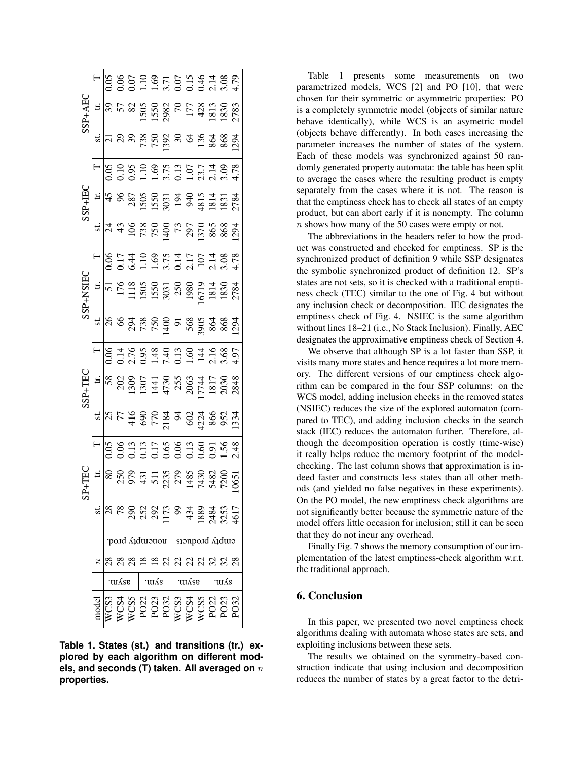|                                                                                                                                                                                                                                                                                                                                                  |                  |              |  |  |          |  | $\begin{array}{r} \n\frac{1}{2} & 0.000000 \\ \n\frac{1}{2} & 0.00000000 \\ \n\frac{1}{2} & 0.00000000 \\ \n\frac{1}{2} & 0.00000000 \\ \n\frac{1}{2} & 0.000000000 \\ \n\frac{1}{2} & 0.000000000 \\ \n\frac{1}{2} & 0.000000000 \\ \n\frac{1}{2} & 0.0000000000 \\ \n\frac{1}{2} & 0.0000000000 \\ \n\frac{1}{2} &$                                                                                   |        |  |                                                              |        |  |  |
|--------------------------------------------------------------------------------------------------------------------------------------------------------------------------------------------------------------------------------------------------------------------------------------------------------------------------------------------------|------------------|--------------|--|--|----------|--|---------------------------------------------------------------------------------------------------------------------------------------------------------------------------------------------------------------------------------------------------------------------------------------------------------------------------------------------------------------------------------------------------------|--------|--|--------------------------------------------------------------|--------|--|--|
|                                                                                                                                                                                                                                                                                                                                                  |                  |              |  |  |          |  | $\frac{1}{2}$ = $\frac{1}{3}$ 5 $\frac{1}{2}$ 5 $\frac{1}{2}$ 5 $\frac{1}{2}$ 5 $\frac{1}{2}$ 5 $\frac{1}{2}$ 5 $\frac{1}{2}$ 5 $\frac{1}{2}$ 5 $\frac{1}{2}$ 5 $\frac{1}{2}$ 5 $\frac{1}{2}$ 5 $\frac{1}{2}$ 5 $\frac{1}{2}$ 5 $\frac{1}{2}$ 5 $\frac{1}{2}$ 5 $\frac{1}{2}$ 5 $\frac{1}{2}$ 5 $\frac{1$                                                                                               |        |  |                                                              |        |  |  |
|                                                                                                                                                                                                                                                                                                                                                  |                  |              |  |  |          |  | $\frac{1}{2}$ $\frac{1}{2}$ $\frac{1}{2}$ $\frac{1}{2}$ $\frac{1}{2}$ $\frac{1}{2}$ $\frac{1}{2}$ $\frac{1}{2}$ $\frac{1}{2}$ $\frac{1}{2}$ $\frac{1}{2}$ $\frac{1}{2}$ $\frac{1}{2}$ $\frac{1}{2}$ $\frac{1}{2}$ $\frac{1}{2}$ $\frac{1}{2}$ $\frac{1}{2}$ $\frac{1}{2}$ $\frac{1}{2}$ $\frac{1}{2}$ $\frac{1}{2}$                                                                                     |        |  |                                                              |        |  |  |
| SSP+HEC<br>$\frac{1}{45}$<br>$\frac{4}{3}$<br>$\frac{387}{1550}$<br>$\frac{1}{3}$<br>$\frac{1}{3}$<br>$\frac{1}{3}$<br>$\frac{1}{3}$<br>$\frac{1}{3}$<br>$\frac{1}{3}$<br>$\frac{1}{3}$<br>$\frac{1}{3}$<br>$\frac{1}{3}$<br>$\frac{1}{3}$<br>$\frac{1}{3}$<br>$\frac{1}{3}$<br>$\frac{1}{3}$<br>$\frac{1}{3}$<br>$\frac{1}{3}$<br>$\frac{1}{3}$ |                  |              |  |  |          |  | $\begin{array}{r} \n\frac{1}{2} & \frac{1}{2} & \frac{1}{2} & \frac{1}{2} & \frac{1}{2} & \frac{1}{2} & \frac{1}{2} & \frac{1}{2} & \frac{1}{2} & \frac{1}{2} & \frac{1}{2} & \frac{1}{2} & \frac{1}{2} & \frac{1}{2} & \frac{1}{2} & \frac{1}{2} & \frac{1}{2} & \frac{1}{2} & \frac{1}{2} & \frac{1}{2} & \frac{1}{2} & \frac{1}{2} & \frac{1}{2} & \frac{1}{2} & \frac{1}{2} & \frac{1}{2} & \frac{$ |        |  |                                                              |        |  |  |
|                                                                                                                                                                                                                                                                                                                                                  |                  |              |  |  |          |  |                                                                                                                                                                                                                                                                                                                                                                                                         |        |  |                                                              |        |  |  |
|                                                                                                                                                                                                                                                                                                                                                  |                  |              |  |  |          |  |                                                                                                                                                                                                                                                                                                                                                                                                         |        |  |                                                              |        |  |  |
| SSP.                                                                                                                                                                                                                                                                                                                                             |                  |              |  |  |          |  |                                                                                                                                                                                                                                                                                                                                                                                                         |        |  |                                                              |        |  |  |
|                                                                                                                                                                                                                                                                                                                                                  |                  |              |  |  |          |  | $\frac{15}{51}$ = $\frac{17}{12}$ = $\frac{18}{12}$ 50 $\frac{15}{12}$ $\frac{15}{12}$ $\frac{15}{12}$ $\frac{15}{12}$ $\frac{15}{12}$ $\frac{15}{12}$ $\frac{15}{12}$ $\frac{15}{12}$ $\frac{15}{12}$ $\frac{15}{12}$ $\frac{15}{12}$ $\frac{15}{12}$ $\frac{15}{12}$ $\frac{15}{12}$ $\frac{15}{12}$                                                                                                  |        |  |                                                              |        |  |  |
|                                                                                                                                                                                                                                                                                                                                                  |                  |              |  |  |          |  | $\frac{1}{2}$ $\frac{1}{8}$ $\frac{1}{8}$ $\frac{1}{8}$ $\frac{1}{8}$ $\frac{1}{8}$ $\frac{1}{8}$ $\frac{1}{8}$ $\frac{1}{8}$ $\frac{1}{8}$ $\frac{1}{8}$ $\frac{1}{8}$ $\frac{1}{8}$ $\frac{1}{8}$ $\frac{1}{8}$ $\frac{1}{8}$ $\frac{1}{8}$ $\frac{1}{8}$ $\frac{1}{8}$ $\frac{1}{8}$ $\frac{1}{8}$ $\frac{1}{8}$                                                                                     |        |  |                                                              |        |  |  |
| +TEC<br>$\overline{\text{ss}}$                                                                                                                                                                                                                                                                                                                   |                  |              |  |  |          |  | $\begin{array}{r l}\n\hline\n-8 & 0.14 & 0.04 & 0.04 \\ \hline\n-0.05 & 0.04 & 0.04 & 0.04 \\ -0.05 & 0.04 & 0.04 & 0.04 \\ \hline\n-0.04 & 0.04 & 0.04 & 0.04 \\ \hline\n-0.04 & 0.04 & 0.04 & 0.04 \\ \hline\n-0.04 & 0.04 & 0.04 & 0.04 & 0.04 \\ \hline\n-0.04 & 0.04 & 0.04 & 0.04 & 0.04 & 0.04 \\ \hline$                                                                                        |        |  |                                                              |        |  |  |
|                                                                                                                                                                                                                                                                                                                                                  | E                |              |  |  |          |  | $\begin{array}{r} 8888 \\ 2000 \\ 1390 \\ 1391 \\ 1490 \\ 1590 \\ 1690 \\ 1790 \\ 1811 \\ 1990 \\ 1990 \\ 1990 \\ 1990 \\ 1990 \\ 1990 \\ 1990 \\ 1990 \\ 1990 \\ 1990 \\ 1990 \\ 1990 \\ 1990 \\ 1990 \\ 1990 \\ 1990 \\ 1990 \\ 1990 \\ 1990 \\ 1990 \\ 1990 \\ 1990 \\ 1990 \\ 1990 \\ 1990 \\ 1990 \\ 19$                                                                                           |        |  |                                                              |        |  |  |
|                                                                                                                                                                                                                                                                                                                                                  |                  |              |  |  |          |  | $25 + 49$<br>$77$<br>$49$<br>$75$<br>$75$<br>$75$<br>$75$<br>$75$<br>$75$<br>$75$<br>$75$<br>$75$<br>$75$<br>$75$<br>$75$<br>$75$<br>$75$<br>$75$<br>$75$<br>$75$<br>$75$<br>$75$<br>$75$<br>$75$<br>$75$<br>$75$<br>$75$<br>$75$<br>$75$<br>$75$                                                                                                                                                       |        |  |                                                              |        |  |  |
|                                                                                                                                                                                                                                                                                                                                                  |                  |              |  |  |          |  |                                                                                                                                                                                                                                                                                                                                                                                                         |        |  |                                                              |        |  |  |
|                                                                                                                                                                                                                                                                                                                                                  | $\frac{1}{2}$    |              |  |  |          |  | $\begin{array}{c} 250 \\ 979 \\ 411 \\ 511 \\ 223 \\ 743 \\ 148 \\ 543 \\ 740 \\ 148 \\ 743 \\ 61 \\ 720 \\ 1065 \\ 1 \end{array}$                                                                                                                                                                                                                                                                      |        |  |                                                              |        |  |  |
|                                                                                                                                                                                                                                                                                                                                                  |                  |              |  |  | 88800077 |  |                                                                                                                                                                                                                                                                                                                                                                                                         |        |  | $9,348,353$<br>$489,483$<br>$548,325$<br>$489,45$<br>$540,7$ |        |  |  |
|                                                                                                                                                                                                                                                                                                                                                  |                  | pond Admonou |  |  |          |  | embt) broqnets                                                                                                                                                                                                                                                                                                                                                                                          |        |  |                                                              |        |  |  |
|                                                                                                                                                                                                                                                                                                                                                  | $\boldsymbol{n}$ |              |  |  |          |  | ឌឌឌឌ≅ ដង្កាដ ដូង ដូន                                                                                                                                                                                                                                                                                                                                                                                    |        |  |                                                              |        |  |  |
|                                                                                                                                                                                                                                                                                                                                                  |                  | .myzs.       |  |  | ∙uı ∧s   |  |                                                                                                                                                                                                                                                                                                                                                                                                         | .myzs. |  |                                                              | ∙uı ∧s |  |  |
|                                                                                                                                                                                                                                                                                                                                                  |                  |              |  |  |          |  | WCS33<br>WCS4<br>NCS322<br>PO233<br>PO23<br>NCS4<br>NCS32<br>PO32<br>PO32<br>PO32                                                                                                                                                                                                                                                                                                                       |        |  |                                                              |        |  |  |

**Table 1. States (st.) and transitions (tr.) explored by each algorithm on different models, and seconds (T) taken. All averaged on** n **properties.**

Table 1 presents some measurements on two parametrized models, WCS [2] and PO [10], that were chosen for their symmetric or asymmetric properties: PO is a completely symmetric model (objects of similar nature behave identically), while WCS is an asymetric model (objects behave differently). In both cases increasing the parameter increases the number of states of the system. Each of these models was synchronized against 50 randomly generated property automata: the table has been split to average the cases where the resulting product is empty separately from the cases where it is not. The reason is that the emptiness check has to check all states of an empty product, but can abort early if it is nonempty. The column n shows how many of the 50 cases were empty or not.

The abbreviations in the headers refer to how the product was constructed and checked for emptiness. SP is the synchronized product of definition 9 while SSP designates the symbolic synchronized product of definition 12. SP's states are not sets, so it is checked with a traditional emptiness check (TEC) similar to the one of Fig. 4 but without any inclusion check or decomposition. IEC designates the emptiness check of Fig. 4. NSIEC is the same algorithm without lines 18–21 (i.e., No Stack Inclusion). Finally, AEC designates the approximative emptiness check of Section 4.

We observe that although SP is a lot faster than SSP, it visits many more states and hence requires a lot more memory. The different versions of our emptiness check algorithm can be compared in the four SSP columns: on the WCS model, adding inclusion checks in the removed states (NSIEC) reduces the size of the explored automaton (compared to TEC), and adding inclusion checks in the search stack (IEC) reduces the automaton further. Therefore, although the decomposition operation is costly (time-wise) it really helps reduce the memory footprint of the modelchecking. The last column shows that approximation is indeed faster and constructs less states than all other methods (and yielded no false negatives in these experiments). On the PO model, the new emptiness check algorithms are not significantly better because the symmetric nature of the model offers little occasion for inclusion; still it can be seen that they do not incur any overhead.

Finally Fig. 7 shows the memory consumption of our implementation of the latest emptiness-check algorithm w.r.t. the traditional approach.

# 6. Conclusion

In this paper, we presented two novel emptiness check algorithms dealing with automata whose states are sets, and exploiting inclusions between these sets.

The results we obtained on the symmetry-based construction indicate that using inclusion and decomposition reduces the number of states by a great factor to the detri-